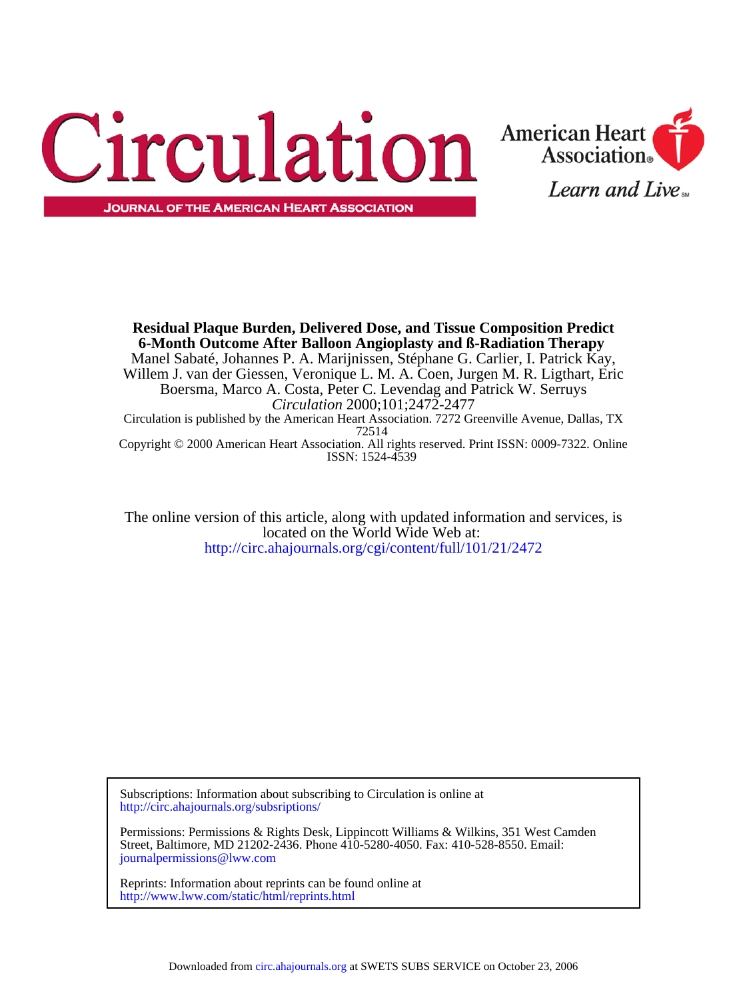



ISSN: 1524-4539 Copyright © 2000 American Heart Association. All rights reserved. Print ISSN: 0009-7322. Online 72514 Circulation is published by the American Heart Association. 7272 Greenville Avenue, Dallas, TX *Circulation* 2000;101;2472-2477 Boersma, Marco A. Costa, Peter C. Levendag and Patrick W. Serruys Willem J. van der Giessen, Veronique L. M. A. Coen, Jurgen M. R. Ligthart, Eric Manel Sabaté, Johannes P. A. Marijnissen, Stéphane G. Carlier, I. Patrick Kay, **6-Month Outcome After Balloon Angioplasty and ß-Radiation Therapy Residual Plaque Burden, Delivered Dose, and Tissue Composition Predict**

<http://circ.ahajournals.org/cgi/content/full/101/21/2472> located on the World Wide Web at: The online version of this article, along with updated information and services, is

[http://circ.ahajournals.org/subsriptions/](http://circ.ahajournals.org/subscriptions/) Subscriptions: Information about subscribing to Circulation is online at

[journalpermissions@lww.com](mailto:journalpermissions@lww.com) Street, Baltimore, MD 21202-2436. Phone 410-5280-4050. Fax: 410-528-8550. Email: Permissions: Permissions & Rights Desk, Lippincott Williams & Wilkins, 351 West Camden

<http://www.lww.com/static/html/reprints.html> Reprints: Information about reprints can be found online at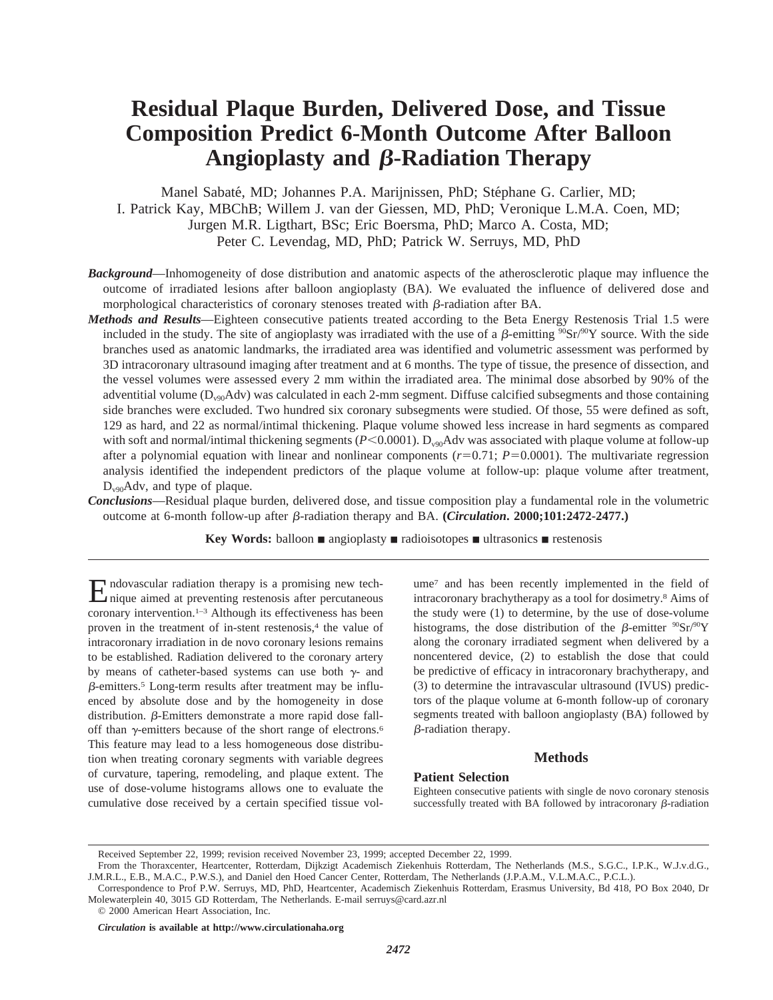# **Residual Plaque Burden, Delivered Dose, and Tissue Composition Predict 6-Month Outcome After Balloon Angioplasty and β-Radiation Therapy**

Manel Sabaté, MD; Johannes P.A. Marijnissen, PhD; Stéphane G. Carlier, MD; I. Patrick Kay, MBChB; Willem J. van der Giessen, MD, PhD; Veronique L.M.A. Coen, MD; Jurgen M.R. Ligthart, BSc; Eric Boersma, PhD; Marco A. Costa, MD; Peter C. Levendag, MD, PhD; Patrick W. Serruys, MD, PhD

- *Background*—Inhomogeneity of dose distribution and anatomic aspects of the atherosclerotic plaque may influence the outcome of irradiated lesions after balloon angioplasty (BA). We evaluated the influence of delivered dose and morphological characteristics of coronary stenoses treated with  $\beta$ -radiation after BA.
- *Methods and Results*—Eighteen consecutive patients treated according to the Beta Energy Restenosis Trial 1.5 were included in the study. The site of angioplasty was irradiated with the use of a  $\beta$ -emitting  ${}^{90}Sr/{}^{90}Y$  source. With the side branches used as anatomic landmarks, the irradiated area was identified and volumetric assessment was performed by 3D intracoronary ultrasound imaging after treatment and at 6 months. The type of tissue, the presence of dissection, and the vessel volumes were assessed every 2 mm within the irradiated area. The minimal dose absorbed by 90% of the adventitial volume  $(D_{\nu90}$ Adv) was calculated in each 2-mm segment. Diffuse calcified subsegments and those containing side branches were excluded. Two hundred six coronary subsegments were studied. Of those, 55 were defined as soft, 129 as hard, and 22 as normal/intimal thickening. Plaque volume showed less increase in hard segments as compared with soft and normal/intimal thickening segments (*P*<0.0001). D<sub>v90</sub>Adv was associated with plaque volume at follow-up after a polynomial equation with linear and nonlinear components  $(r=0.71; P=0.0001)$ . The multivariate regression analysis identified the independent predictors of the plaque volume at follow-up: plaque volume after treatment,  $D_{\nu90}$ Adv, and type of plaque.
- *Conclusions*—Residual plaque burden, delivered dose, and tissue composition play a fundamental role in the volumetric outcome at 6-month follow-up after b-radiation therapy and BA. **(***Circulation***. 2000;101:2472-2477.)**

**Key Words:** balloon **n** angioplasty **n** radioisotopes **n** ultrasonics **n** restenosis

Endovascular radiation therapy is a promising new tech-nique aimed at preventing restenosis after percutaneous coronary intervention.1–3 Although its effectiveness has been proven in the treatment of in-stent restenosis,<sup>4</sup> the value of intracoronary irradiation in de novo coronary lesions remains to be established. Radiation delivered to the coronary artery by means of catheter-based systems can use both  $\gamma$ - and  $\beta$ -emitters.<sup>5</sup> Long-term results after treatment may be influenced by absolute dose and by the homogeneity in dose distribution.  $\beta$ -Emitters demonstrate a more rapid dose falloff than  $\gamma$ -emitters because of the short range of electrons.<sup>6</sup> This feature may lead to a less homogeneous dose distribution when treating coronary segments with variable degrees of curvature, tapering, remodeling, and plaque extent. The use of dose-volume histograms allows one to evaluate the cumulative dose received by a certain specified tissue volume7 and has been recently implemented in the field of intracoronary brachytherapy as a tool for dosimetry.8 Aims of the study were (1) to determine, by the use of dose-volume histograms, the dose distribution of the B-emitter  $^{90}Sr^{90}Y$ along the coronary irradiated segment when delivered by a noncentered device, (2) to establish the dose that could be predictive of efficacy in intracoronary brachytherapy, and (3) to determine the intravascular ultrasound (IVUS) predictors of the plaque volume at 6-month follow-up of coronary segments treated with balloon angioplasty (BA) followed by  $\beta$ -radiation therapy.

## **Methods**

### **Patient Selection**

Eighteen consecutive patients with single de novo coronary stenosis successfully treated with BA followed by intracoronary  $\beta$ -radiation

Received September 22, 1999; revision received November 23, 1999; accepted December 22, 1999.

From the Thoraxcenter, Heartcenter, Rotterdam, Dijkzigt Academisch Ziekenhuis Rotterdam, The Netherlands (M.S., S.G.C., I.P.K., W.J.v.d.G., J.M.R.L., E.B., M.A.C., P.W.S.), and Daniel den Hoed Cancer Center, Rotterdam, The Netherlands (J.P.A.M., V.L.M.A.C., P.C.L.).

Correspondence to Prof P.W. Serruys, MD, PhD, Heartcenter, Academisch Ziekenhuis Rotterdam, Erasmus University, Bd 418, PO Box 2040, Dr Molewaterplein 40, 3015 GD Rotterdam, The Netherlands. E-mail serruys@card.azr.nl

<sup>© 2000</sup> American Heart Association, Inc.

*Circulation* **is available at http://www.circulationaha.org**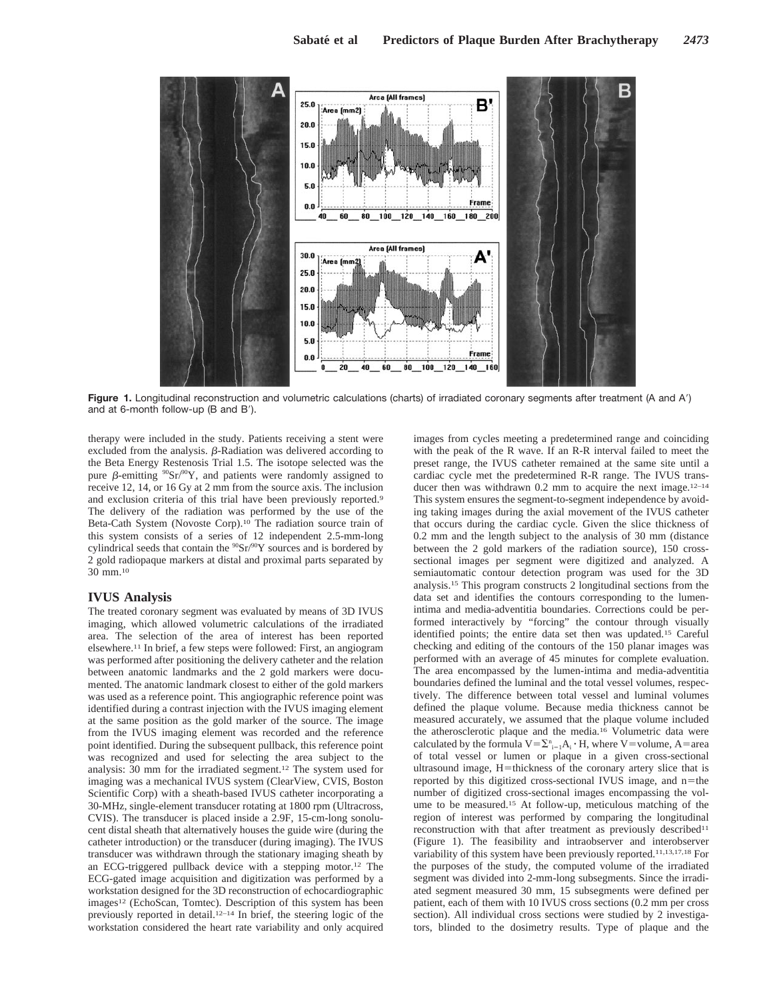

Figure 1. Longitudinal reconstruction and volumetric calculations (charts) of irradiated coronary segments after treatment (A and A') and at 6-month follow-up (B and B').

therapy were included in the study. Patients receiving a stent were excluded from the analysis.  $\beta$ -Radiation was delivered according to the Beta Energy Restenosis Trial 1.5. The isotope selected was the pure  $\beta$ -emitting  $^{90}Sr^{90}Y$ , and patients were randomly assigned to receive 12, 14, or 16 Gy at 2 mm from the source axis. The inclusion and exclusion criteria of this trial have been previously reported.9 The delivery of the radiation was performed by the use of the Beta-Cath System (Novoste Corp).10 The radiation source train of this system consists of a series of 12 independent 2.5-mm-long cylindrical seeds that contain the  $90Sr/90Y$  sources and is bordered by 2 gold radiopaque markers at distal and proximal parts separated by 30 mm.10

## **IVUS Analysis**

The treated coronary segment was evaluated by means of 3D IVUS imaging, which allowed volumetric calculations of the irradiated area. The selection of the area of interest has been reported elsewhere.11 In brief, a few steps were followed: First, an angiogram was performed after positioning the delivery catheter and the relation between anatomic landmarks and the 2 gold markers were documented. The anatomic landmark closest to either of the gold markers was used as a reference point. This angiographic reference point was identified during a contrast injection with the IVUS imaging element at the same position as the gold marker of the source. The image from the IVUS imaging element was recorded and the reference point identified. During the subsequent pullback, this reference point was recognized and used for selecting the area subject to the analysis: 30 mm for the irradiated segment.12 The system used for imaging was a mechanical IVUS system (ClearView, CVIS, Boston Scientific Corp) with a sheath-based IVUS catheter incorporating a 30-MHz, single-element transducer rotating at 1800 rpm (Ultracross, CVIS). The transducer is placed inside a 2.9F, 15-cm-long sonolucent distal sheath that alternatively houses the guide wire (during the catheter introduction) or the transducer (during imaging). The IVUS transducer was withdrawn through the stationary imaging sheath by an ECG-triggered pullback device with a stepping motor.12 The ECG-gated image acquisition and digitization was performed by a workstation designed for the 3D reconstruction of echocardiographic images<sup>12</sup> (EchoScan, Tomtec). Description of this system has been previously reported in detail.12–14 In brief, the steering logic of the workstation considered the heart rate variability and only acquired images from cycles meeting a predetermined range and coinciding with the peak of the R wave. If an R-R interval failed to meet the preset range, the IVUS catheter remained at the same site until a cardiac cycle met the predetermined R-R range. The IVUS transducer then was withdrawn 0.2 mm to acquire the next image.<sup>12-14</sup> This system ensures the segment-to-segment independence by avoiding taking images during the axial movement of the IVUS catheter that occurs during the cardiac cycle. Given the slice thickness of 0.2 mm and the length subject to the analysis of 30 mm (distance between the 2 gold markers of the radiation source), 150 crosssectional images per segment were digitized and analyzed. A semiautomatic contour detection program was used for the 3D analysis.15 This program constructs 2 longitudinal sections from the data set and identifies the contours corresponding to the lumenintima and media-adventitia boundaries. Corrections could be performed interactively by "forcing" the contour through visually identified points; the entire data set then was updated.15 Careful checking and editing of the contours of the 150 planar images was performed with an average of 45 minutes for complete evaluation. The area encompassed by the lumen-intima and media-adventitia boundaries defined the luminal and the total vessel volumes, respectively. The difference between total vessel and luminal volumes defined the plaque volume. Because media thickness cannot be measured accurately, we assumed that the plaque volume included the atherosclerotic plaque and the media.16 Volumetric data were calculated by the formula  $V = \sum_{i=1}^{n} A_i \cdot H$ , where V=volume, A=area of total vessel or lumen or plaque in a given cross-sectional ultrasound image,  $H=$ thickness of the coronary artery slice that is reported by this digitized cross-sectional IVUS image, and  $n$ =the number of digitized cross-sectional images encompassing the volume to be measured.15 At follow-up, meticulous matching of the region of interest was performed by comparing the longitudinal reconstruction with that after treatment as previously described<sup>11</sup> (Figure 1). The feasibility and intraobserver and interobserver variability of this system have been previously reported.11,13,17,18 For the purposes of the study, the computed volume of the irradiated segment was divided into 2-mm-long subsegments. Since the irradiated segment measured 30 mm, 15 subsegments were defined per patient, each of them with 10 IVUS cross sections (0.2 mm per cross section). All individual cross sections were studied by 2 investigators, blinded to the dosimetry results. Type of plaque and the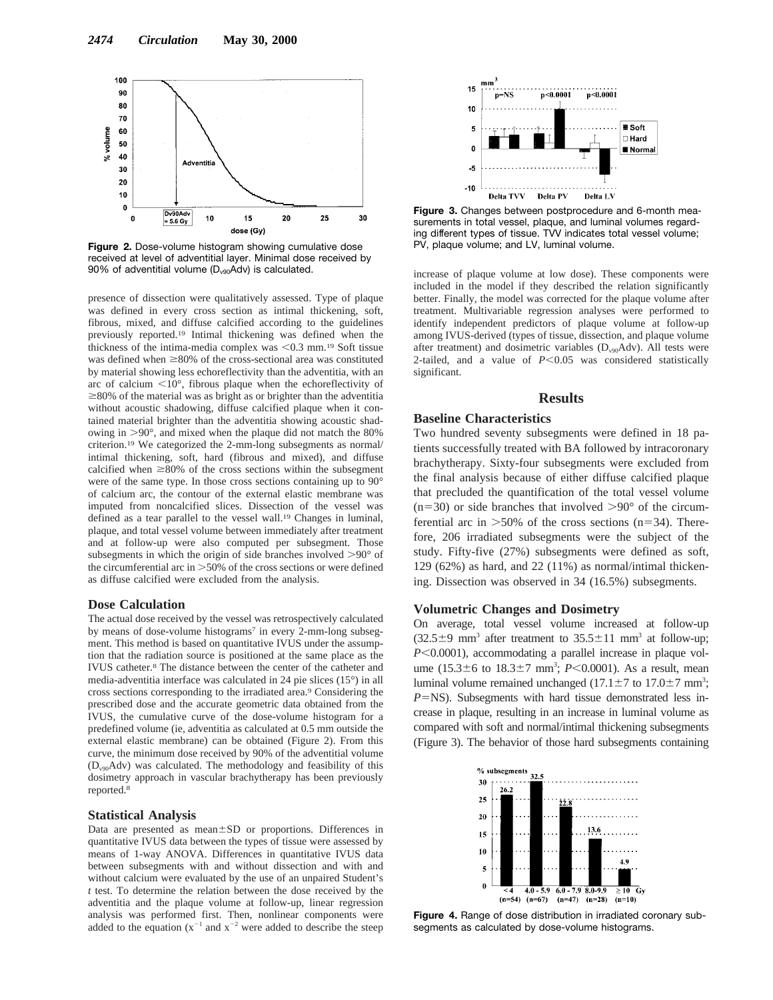

**Figure 2.** Dose-volume histogram showing cumulative dose received at level of adventitial layer. Minimal dose received by 90% of adventitial volume  $(D_{v90} \overline{A} dv)$  is calculated.

presence of dissection were qualitatively assessed. Type of plaque was defined in every cross section as intimal thickening, soft, fibrous, mixed, and diffuse calcified according to the guidelines previously reported.19 Intimal thickening was defined when the thickness of the intima-media complex was  $< 0.3$  mm.<sup>19</sup> Soft tissue was defined when  $\geq$ 80% of the cross-sectional area was constituted by material showing less echoreflectivity than the adventitia, with an arc of calcium  $\leq 10^{\circ}$ , fibrous plaque when the echoreflectivity of  $\geq$ 80% of the material was as bright as or brighter than the adventitia without acoustic shadowing, diffuse calcified plaque when it contained material brighter than the adventitia showing acoustic shadowing in  $>90^\circ$ , and mixed when the plaque did not match the 80% criterion.19 We categorized the 2-mm-long subsegments as normal/ intimal thickening, soft, hard (fibrous and mixed), and diffuse calcified when  $\geq 80\%$  of the cross sections within the subsegment were of the same type. In those cross sections containing up to 90° of calcium arc, the contour of the external elastic membrane was imputed from noncalcified slices. Dissection of the vessel was defined as a tear parallel to the vessel wall.19 Changes in luminal, plaque, and total vessel volume between immediately after treatment and at follow-up were also computed per subsegment. Those subsegments in which the origin of side branches involved  $>90^{\circ}$  of the circumferential arc in  $>50\%$  of the cross sections or were defined as diffuse calcified were excluded from the analysis.

#### **Dose Calculation**

The actual dose received by the vessel was retrospectively calculated by means of dose-volume histograms<sup>7</sup> in every 2-mm-long subsegment. This method is based on quantitative IVUS under the assumption that the radiation source is positioned at the same place as the IVUS catheter.8 The distance between the center of the catheter and media-adventitia interface was calculated in 24 pie slices (15°) in all cross sections corresponding to the irradiated area.9 Considering the prescribed dose and the accurate geometric data obtained from the IVUS, the cumulative curve of the dose-volume histogram for a predefined volume (ie, adventitia as calculated at 0.5 mm outside the external elastic membrane) can be obtained (Figure 2). From this curve, the minimum dose received by 90% of the adventitial volume (Dv90Adv) was calculated. The methodology and feasibility of this dosimetry approach in vascular brachytherapy has been previously reported.8

## **Statistical Analysis**

Data are presented as mean±SD or proportions. Differences in quantitative IVUS data between the types of tissue were assessed by means of 1-way ANOVA. Differences in quantitative IVUS data between subsegments with and without dissection and with and without calcium were evaluated by the use of an unpaired Student's *t* test. To determine the relation between the dose received by the adventitia and the plaque volume at follow-up, linear regression analysis was performed first. Then, nonlinear components were added to the equation  $(x^{-1}$  and  $x^{-2}$  were added to describe the steep



**Figure 3.** Changes between postprocedure and 6-month measurements in total vessel, plaque, and luminal volumes regarding different types of tissue. TVV indicates total vessel volume; PV, plaque volume; and LV, luminal volume.

increase of plaque volume at low dose). These components were included in the model if they described the relation significantly better. Finally, the model was corrected for the plaque volume after treatment. Multivariable regression analyses were performed to identify independent predictors of plaque volume at follow-up among IVUS-derived (types of tissue, dissection, and plaque volume after treatment) and dosimetric variables  $(D_{v90} Adv)$ . All tests were 2-tailed, and a value of  $P < 0.05$  was considered statistically significant.

## **Results**

### **Baseline Characteristics**

Two hundred seventy subsegments were defined in 18 patients successfully treated with BA followed by intracoronary brachytherapy. Sixty-four subsegments were excluded from the final analysis because of either diffuse calcified plaque that precluded the quantification of the total vessel volume  $(n=30)$  or side branches that involved  $>90^{\circ}$  of the circumferential arc in  $>50\%$  of the cross sections (n=34). Therefore, 206 irradiated subsegments were the subject of the study. Fifty-five (27%) subsegments were defined as soft, 129 (62%) as hard, and 22 (11%) as normal/intimal thickening. Dissection was observed in 34 (16.5%) subsegments.

## **Volumetric Changes and Dosimetry**

On average, total vessel volume increased at follow-up  $(32.5\pm9 \text{ mm}^3 \text{ after treatment to } 35.5\pm11 \text{ mm}^3 \text{ at follow-up};$  $P<0.0001$ ), accommodating a parallel increase in plaque volume  $(15.3 \pm 6 \text{ to } 18.3 \pm 7 \text{ mm}^3; P < 0.0001)$ . As a result, mean luminal volume remained unchanged  $(17.1 \pm 7 \text{ to } 17.0 \pm 7 \text{ mm}^3;$  $P=$ NS). Subsegments with hard tissue demonstrated less increase in plaque, resulting in an increase in luminal volume as compared with soft and normal/intimal thickening subsegments (Figure 3). The behavior of those hard subsegments containing



**Figure 4.** Range of dose distribution in irradiated coronary subsegments as calculated by dose-volume histograms.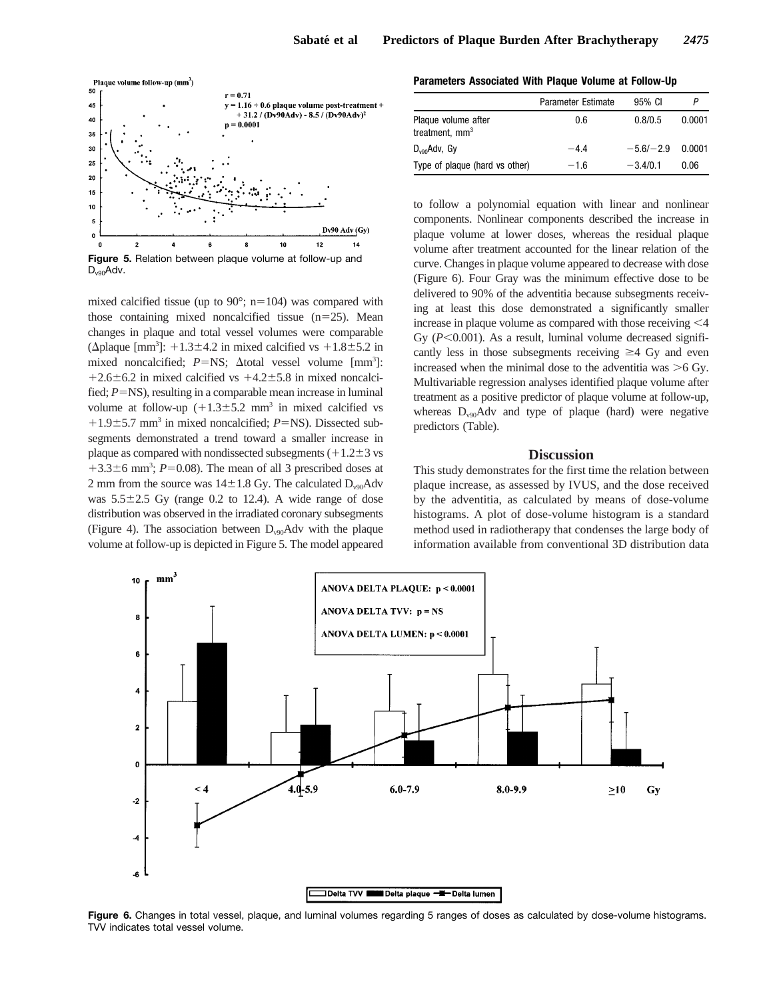

 $D_{v90}$ Adv.

mixed calcified tissue (up to  $90^\circ$ ; n=104) was compared with those containing mixed noncalcified tissue  $(n=25)$ . Mean changes in plaque and total vessel volumes were comparable ( $\Delta$ plaque [mm<sup>3</sup>]: +1.3±4.2 in mixed calcified vs +1.8±5.2 in mixed noncalcified;  $P = NS$ ;  $\Delta$ total vessel volume  $\text{[mm}^3$ ]:  $+2.6\pm6.2$  in mixed calcified vs  $+4.2\pm5.8$  in mixed noncalcified;  $P=NS$ ), resulting in a comparable mean increase in luminal volume at follow-up  $(+1.3\pm5.2 \text{ mm}^3)$  in mixed calcified vs  $+1.9\pm5.7$  mm<sup>3</sup> in mixed noncalcified; *P*=NS). Dissected subsegments demonstrated a trend toward a smaller increase in plaque as compared with nondissected subsegments  $(+1.2\pm3$  vs  $+3.3\pm6$  mm<sup>3</sup>; *P*=0.08). The mean of all 3 prescribed doses at 2 mm from the source was  $14\pm1.8$  Gy. The calculated D<sub>v90</sub>Adv was  $5.5\pm2.5$  Gy (range 0.2 to 12.4). A wide range of dose distribution was observed in the irradiated coronary subsegments (Figure 4). The association between  $D_{\nu90}$ Adv with the plaque volume at follow-up is depicted in Figure 5. The model appeared

**Parameters Associated With Plaque Volume at Follow-Up**

|                                                   | Parameter Estimate | 95% CI      |        |
|---------------------------------------------------|--------------------|-------------|--------|
| Plaque volume after<br>treatment, mm <sup>3</sup> | 0.6                | 0.8/0.5     | 0.0001 |
| $D_{\text{van}}$ Adv, Gv                          | $-4.4$             | $-5.6/-2.9$ | 0.0001 |
| Type of plaque (hard vs other)                    | $-1.6$             | $-3.4/0.1$  | 0.06   |

to follow a polynomial equation with linear and nonlinear components. Nonlinear components described the increase in plaque volume at lower doses, whereas the residual plaque volume after treatment accounted for the linear relation of the curve. Changes in plaque volume appeared to decrease with dose (Figure 6). Four Gray was the minimum effective dose to be delivered to 90% of the adventitia because subsegments receiving at least this dose demonstrated a significantly smaller increase in plaque volume as compared with those receiving  $\leq 4$ Gy  $(P<0.001)$ . As a result, luminal volume decreased significantly less in those subsegments receiving  $\geq$  4 Gy and even increased when the minimal dose to the adventitia was  $\geq 6$  Gy. Multivariable regression analyses identified plaque volume after treatment as a positive predictor of plaque volume at follow-up, whereas  $D_{v90}$ Adv and type of plaque (hard) were negative predictors (Table).

# **Discussion**

This study demonstrates for the first time the relation between plaque increase, as assessed by IVUS, and the dose received by the adventitia, as calculated by means of dose-volume histograms. A plot of dose-volume histogram is a standard method used in radiotherapy that condenses the large body of information available from conventional 3D distribution data



**Figure 6.** Changes in total vessel, plaque, and luminal volumes regarding 5 ranges of doses as calculated by dose-volume histograms. TVV indicates total vessel volume.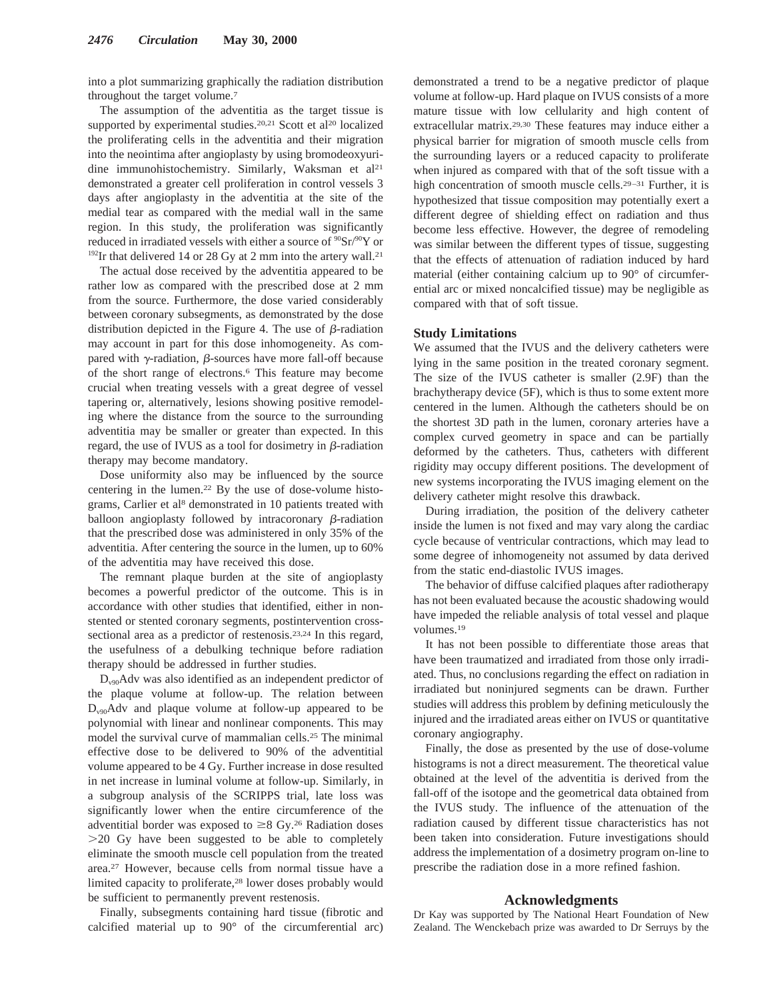into a plot summarizing graphically the radiation distribution throughout the target volume.7

The assumption of the adventitia as the target tissue is supported by experimental studies.<sup>20,21</sup> Scott et al<sup>20</sup> localized the proliferating cells in the adventitia and their migration into the neointima after angioplasty by using bromodeoxyuridine immunohistochemistry. Similarly, Waksman et al<sup>21</sup> demonstrated a greater cell proliferation in control vessels 3 days after angioplasty in the adventitia at the site of the medial tear as compared with the medial wall in the same region. In this study, the proliferation was significantly reduced in irradiated vessels with either a source of  $\rm{^{90}Sr/^{90}Y}$  or  $192$ Ir that delivered 14 or 28 Gy at 2 mm into the artery wall.<sup>21</sup>

The actual dose received by the adventitia appeared to be rather low as compared with the prescribed dose at 2 mm from the source. Furthermore, the dose varied considerably between coronary subsegments, as demonstrated by the dose distribution depicted in the Figure 4. The use of  $\beta$ -radiation may account in part for this dose inhomogeneity. As compared with  $\gamma$ -radiation,  $\beta$ -sources have more fall-off because of the short range of electrons.6 This feature may become crucial when treating vessels with a great degree of vessel tapering or, alternatively, lesions showing positive remodeling where the distance from the source to the surrounding adventitia may be smaller or greater than expected. In this regard, the use of IVUS as a tool for dosimetry in  $\beta$ -radiation therapy may become mandatory.

Dose uniformity also may be influenced by the source centering in the lumen.22 By the use of dose-volume histograms, Carlier et al<sup>8</sup> demonstrated in 10 patients treated with balloon angioplasty followed by intracoronary  $\beta$ -radiation that the prescribed dose was administered in only 35% of the adventitia. After centering the source in the lumen, up to 60% of the adventitia may have received this dose.

The remnant plaque burden at the site of angioplasty becomes a powerful predictor of the outcome. This is in accordance with other studies that identified, either in nonstented or stented coronary segments, postintervention crosssectional area as a predictor of restenosis.23,24 In this regard, the usefulness of a debulking technique before radiation therapy should be addressed in further studies.

 $D_{\nu 90}$ Adv was also identified as an independent predictor of the plaque volume at follow-up. The relation between  $D_{\nu90}$ Adv and plaque volume at follow-up appeared to be polynomial with linear and nonlinear components. This may model the survival curve of mammalian cells.25 The minimal effective dose to be delivered to 90% of the adventitial volume appeared to be 4 Gy. Further increase in dose resulted in net increase in luminal volume at follow-up. Similarly, in a subgroup analysis of the SCRIPPS trial, late loss was significantly lower when the entire circumference of the adventitial border was exposed to  $\geq 8$  Gy.<sup>26</sup> Radiation doses .20 Gy have been suggested to be able to completely eliminate the smooth muscle cell population from the treated area.27 However, because cells from normal tissue have a limited capacity to proliferate,28 lower doses probably would be sufficient to permanently prevent restenosis.

Finally, subsegments containing hard tissue (fibrotic and calcified material up to 90° of the circumferential arc) demonstrated a trend to be a negative predictor of plaque volume at follow-up. Hard plaque on IVUS consists of a more mature tissue with low cellularity and high content of extracellular matrix.29,30 These features may induce either a physical barrier for migration of smooth muscle cells from the surrounding layers or a reduced capacity to proliferate when injured as compared with that of the soft tissue with a high concentration of smooth muscle cells.<sup>29–31</sup> Further, it is hypothesized that tissue composition may potentially exert a different degree of shielding effect on radiation and thus become less effective. However, the degree of remodeling was similar between the different types of tissue, suggesting that the effects of attenuation of radiation induced by hard material (either containing calcium up to 90° of circumferential arc or mixed noncalcified tissue) may be negligible as compared with that of soft tissue.

#### **Study Limitations**

We assumed that the IVUS and the delivery catheters were lying in the same position in the treated coronary segment. The size of the IVUS catheter is smaller (2.9F) than the brachytherapy device (5F), which is thus to some extent more centered in the lumen. Although the catheters should be on the shortest 3D path in the lumen, coronary arteries have a complex curved geometry in space and can be partially deformed by the catheters. Thus, catheters with different rigidity may occupy different positions. The development of new systems incorporating the IVUS imaging element on the delivery catheter might resolve this drawback.

During irradiation, the position of the delivery catheter inside the lumen is not fixed and may vary along the cardiac cycle because of ventricular contractions, which may lead to some degree of inhomogeneity not assumed by data derived from the static end-diastolic IVUS images.

The behavior of diffuse calcified plaques after radiotherapy has not been evaluated because the acoustic shadowing would have impeded the reliable analysis of total vessel and plaque volumes.19

It has not been possible to differentiate those areas that have been traumatized and irradiated from those only irradiated. Thus, no conclusions regarding the effect on radiation in irradiated but noninjured segments can be drawn. Further studies will address this problem by defining meticulously the injured and the irradiated areas either on IVUS or quantitative coronary angiography.

Finally, the dose as presented by the use of dose-volume histograms is not a direct measurement. The theoretical value obtained at the level of the adventitia is derived from the fall-off of the isotope and the geometrical data obtained from the IVUS study. The influence of the attenuation of the radiation caused by different tissue characteristics has not been taken into consideration. Future investigations should address the implementation of a dosimetry program on-line to prescribe the radiation dose in a more refined fashion.

#### **Acknowledgments**

Dr Kay was supported by The National Heart Foundation of New Zealand. The Wenckebach prize was awarded to Dr Serruys by the